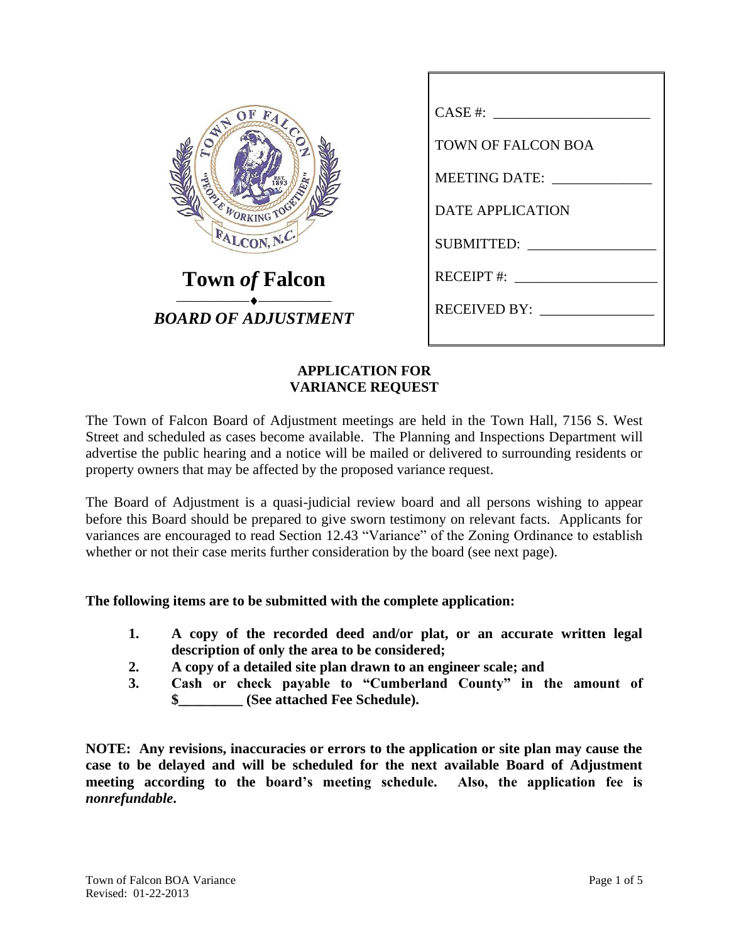| OF                                          |
|---------------------------------------------|
| FALCOL<br><b>WHY</b>                        |
|                                             |
|                                             |
|                                             |
| <b>BOOK TO BE A TABLE AND REAL PROPERTY</b> |
|                                             |
| FALCON, N.C.                                |
|                                             |
| <b>Town of Falcon</b>                       |
|                                             |
| BOARD OF ADJUSTMENT                         |
|                                             |

| $CASE #: \_\_$            |
|---------------------------|
| <b>TOWN OF FALCON BOA</b> |
| MEETING DATE:             |
| <b>DATE APPLICATION</b>   |
| SUBMITTED:                |
| RECEIPT #:                |
| RECEIVED BY:              |
|                           |

## **APPLICATION FOR VARIANCE REQUEST**

The Town of Falcon Board of Adjustment meetings are held in the Town Hall, 7156 S. West Street and scheduled as cases become available. The Planning and Inspections Department will advertise the public hearing and a notice will be mailed or delivered to surrounding residents or property owners that may be affected by the proposed variance request.

The Board of Adjustment is a quasi-judicial review board and all persons wishing to appear before this Board should be prepared to give sworn testimony on relevant facts. Applicants for variances are encouraged to read Section 12.43 "Variance" of the Zoning Ordinance to establish whether or not their case merits further consideration by the board (see next page).

## **The following items are to be submitted with the complete application:**

- **1. A copy of the recorded deed and/or plat, or an accurate written legal description of only the area to be considered;**
- **2. A copy of a detailed site plan drawn to an engineer scale; and**
- **3. Cash or check payable to "Cumberland County" in the amount of \$\_\_\_\_\_\_\_\_\_ (See attached Fee Schedule).**

**NOTE: Any revisions, inaccuracies or errors to the application or site plan may cause the case to be delayed and will be scheduled for the next available Board of Adjustment meeting according to the board's meeting schedule. Also, the application fee is**  *nonrefundable***.**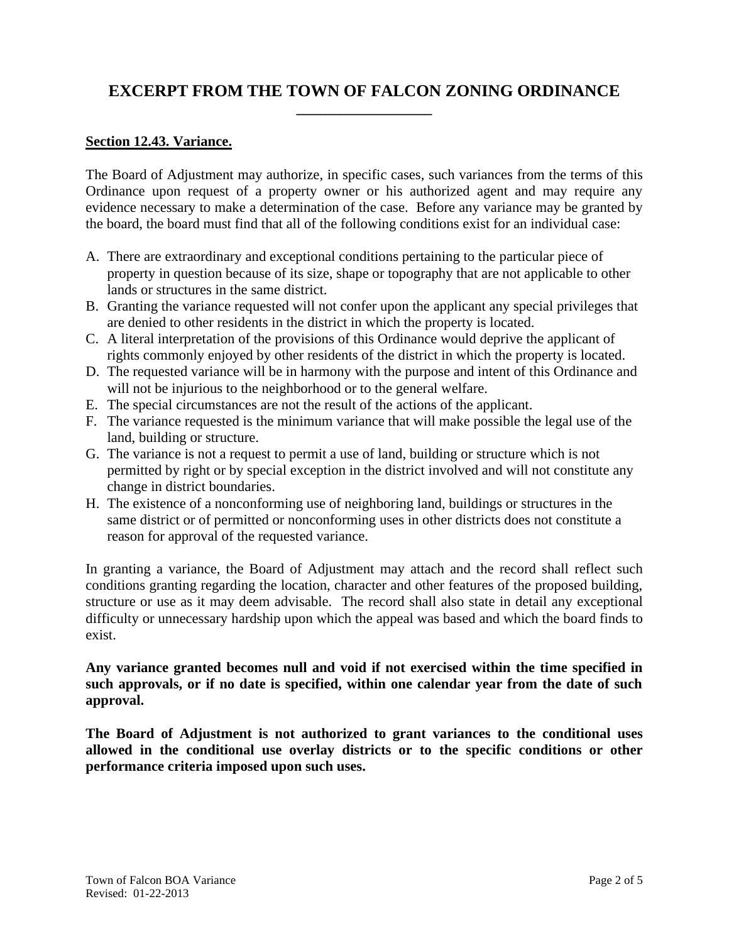## **EXCERPT FROM THE TOWN OF FALCON ZONING ORDINANCE \_\_\_\_\_\_\_\_\_\_\_\_\_\_\_\_\_\_\_**

#### **Section 12.43. Variance.**

The Board of Adjustment may authorize, in specific cases, such variances from the terms of this Ordinance upon request of a property owner or his authorized agent and may require any evidence necessary to make a determination of the case. Before any variance may be granted by the board, the board must find that all of the following conditions exist for an individual case:

- A. There are extraordinary and exceptional conditions pertaining to the particular piece of property in question because of its size, shape or topography that are not applicable to other lands or structures in the same district.
- B. Granting the variance requested will not confer upon the applicant any special privileges that are denied to other residents in the district in which the property is located.
- C. A literal interpretation of the provisions of this Ordinance would deprive the applicant of rights commonly enjoyed by other residents of the district in which the property is located.
- D. The requested variance will be in harmony with the purpose and intent of this Ordinance and will not be injurious to the neighborhood or to the general welfare.
- E. The special circumstances are not the result of the actions of the applicant.
- F. The variance requested is the minimum variance that will make possible the legal use of the land, building or structure.
- G. The variance is not a request to permit a use of land, building or structure which is not permitted by right or by special exception in the district involved and will not constitute any change in district boundaries.
- H. The existence of a nonconforming use of neighboring land, buildings or structures in the same district or of permitted or nonconforming uses in other districts does not constitute a reason for approval of the requested variance.

In granting a variance, the Board of Adjustment may attach and the record shall reflect such conditions granting regarding the location, character and other features of the proposed building, structure or use as it may deem advisable. The record shall also state in detail any exceptional difficulty or unnecessary hardship upon which the appeal was based and which the board finds to exist.

**Any variance granted becomes null and void if not exercised within the time specified in such approvals, or if no date is specified, within one calendar year from the date of such approval.** 

**The Board of Adjustment is not authorized to grant variances to the conditional uses allowed in the conditional use overlay districts or to the specific conditions or other performance criteria imposed upon such uses.**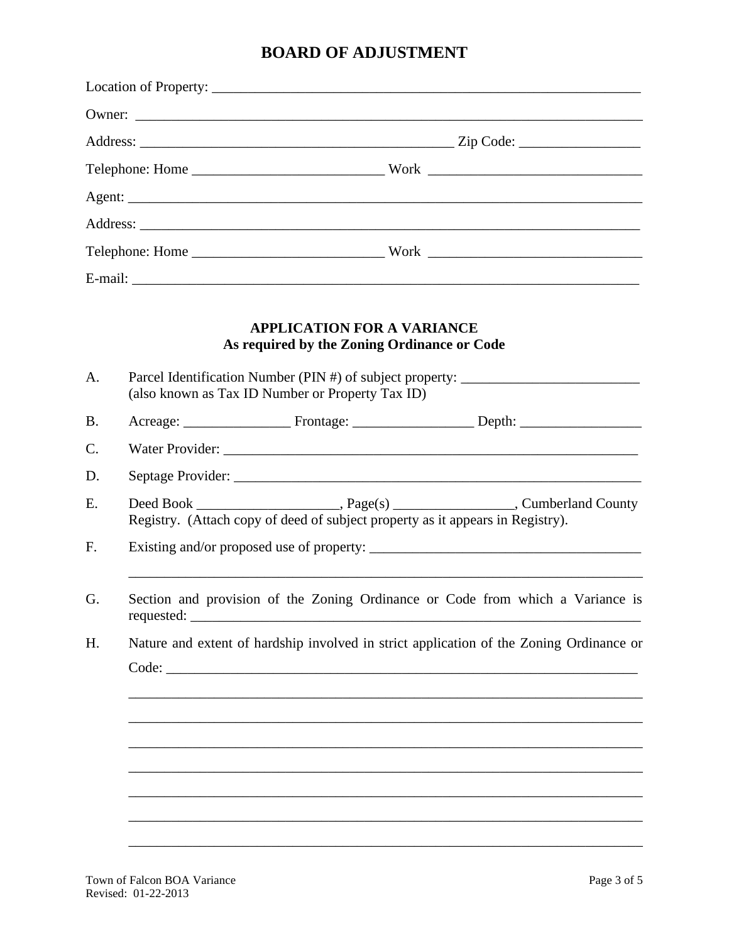# **BOARD OF ADJUSTMENT**

|                |                                                                                              | Owner:                                                                                                                               |                                                           |  |
|----------------|----------------------------------------------------------------------------------------------|--------------------------------------------------------------------------------------------------------------------------------------|-----------------------------------------------------------|--|
|                |                                                                                              |                                                                                                                                      |                                                           |  |
|                |                                                                                              |                                                                                                                                      |                                                           |  |
|                |                                                                                              |                                                                                                                                      |                                                           |  |
|                |                                                                                              |                                                                                                                                      |                                                           |  |
|                |                                                                                              |                                                                                                                                      |                                                           |  |
|                |                                                                                              |                                                                                                                                      |                                                           |  |
| A.             |                                                                                              | <b>APPLICATION FOR A VARIANCE</b><br>As required by the Zoning Ordinance or Code<br>(also known as Tax ID Number or Property Tax ID) | Parcel Identification Number (PIN #) of subject property: |  |
| <b>B.</b>      |                                                                                              |                                                                                                                                      |                                                           |  |
| $\mathbf{C}$ . |                                                                                              |                                                                                                                                      |                                                           |  |
| D.             |                                                                                              |                                                                                                                                      |                                                           |  |
| E.             |                                                                                              |                                                                                                                                      |                                                           |  |
| F.             | Registry. (Attach copy of deed of subject property as it appears in Registry).               |                                                                                                                                      |                                                           |  |
| G.             | Section and provision of the Zoning Ordinance or Code from which a Variance is<br>requested: |                                                                                                                                      |                                                           |  |
| H.             | Nature and extent of hardship involved in strict application of the Zoning Ordinance or      |                                                                                                                                      |                                                           |  |
|                |                                                                                              |                                                                                                                                      |                                                           |  |
|                |                                                                                              |                                                                                                                                      |                                                           |  |
|                |                                                                                              |                                                                                                                                      |                                                           |  |
|                |                                                                                              |                                                                                                                                      |                                                           |  |
|                |                                                                                              |                                                                                                                                      |                                                           |  |
|                |                                                                                              |                                                                                                                                      |                                                           |  |
|                |                                                                                              |                                                                                                                                      |                                                           |  |
|                |                                                                                              |                                                                                                                                      |                                                           |  |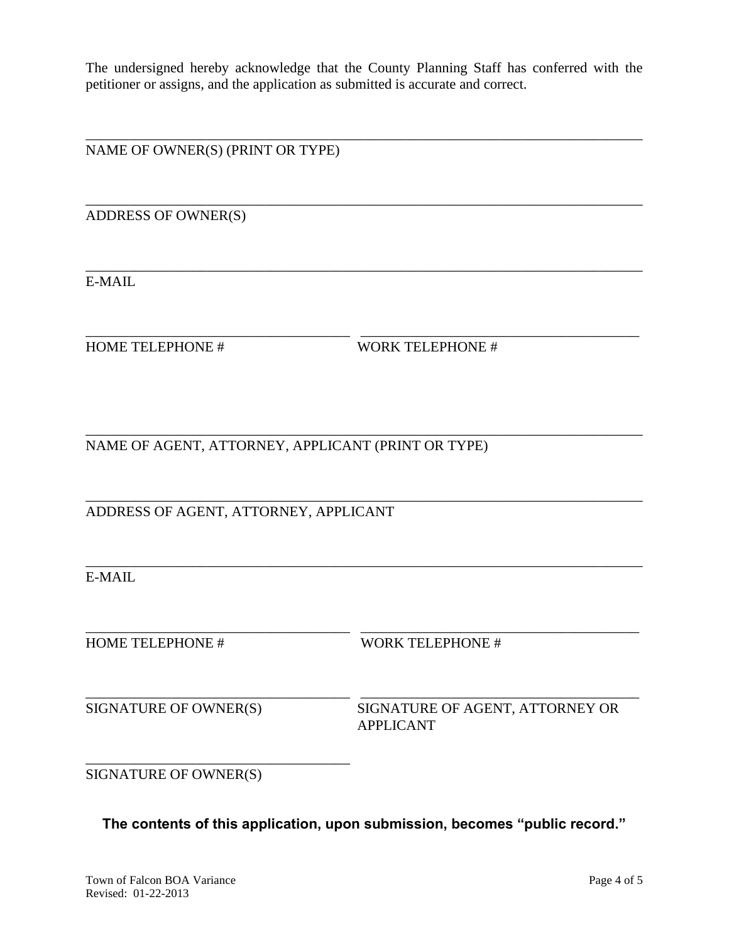The undersigned hereby acknowledge that the County Planning Staff has conferred with the petitioner or assigns, and the application as submitted is accurate and correct.

\_\_\_\_\_\_\_\_\_\_\_\_\_\_\_\_\_\_\_\_\_\_\_\_\_\_\_\_\_\_\_\_\_\_\_\_\_\_\_\_\_\_\_\_\_\_\_\_\_\_\_\_\_\_\_\_\_\_\_\_\_\_\_\_\_\_\_\_\_\_\_\_\_\_\_\_\_\_

\_\_\_\_\_\_\_\_\_\_\_\_\_\_\_\_\_\_\_\_\_\_\_\_\_\_\_\_\_\_\_\_\_\_\_\_\_\_\_\_\_\_\_\_\_\_\_\_\_\_\_\_\_\_\_\_\_\_\_\_\_\_\_\_\_\_\_\_\_\_\_\_\_\_\_\_\_\_

\_\_\_\_\_\_\_\_\_\_\_\_\_\_\_\_\_\_\_\_\_\_\_\_\_\_\_\_\_\_\_\_\_\_\_\_\_\_\_\_\_\_\_\_\_\_\_\_\_\_\_\_\_\_\_\_\_\_\_\_\_\_\_\_\_\_\_\_\_\_\_\_\_\_\_\_\_\_

\_\_\_\_\_\_\_\_\_\_\_\_\_\_\_\_\_\_\_\_\_\_\_\_\_\_\_\_\_\_\_\_\_\_\_\_\_ \_\_\_\_\_\_\_\_\_\_\_\_\_\_\_\_\_\_\_\_\_\_\_\_\_\_\_\_\_\_\_\_\_\_\_\_\_\_\_

\_\_\_\_\_\_\_\_\_\_\_\_\_\_\_\_\_\_\_\_\_\_\_\_\_\_\_\_\_\_\_\_\_\_\_\_\_\_\_\_\_\_\_\_\_\_\_\_\_\_\_\_\_\_\_\_\_\_\_\_\_\_\_\_\_\_\_\_\_\_\_\_\_\_\_\_\_\_

\_\_\_\_\_\_\_\_\_\_\_\_\_\_\_\_\_\_\_\_\_\_\_\_\_\_\_\_\_\_\_\_\_\_\_\_\_\_\_\_\_\_\_\_\_\_\_\_\_\_\_\_\_\_\_\_\_\_\_\_\_\_\_\_\_\_\_\_\_\_\_\_\_\_\_\_\_\_

\_\_\_\_\_\_\_\_\_\_\_\_\_\_\_\_\_\_\_\_\_\_\_\_\_\_\_\_\_\_\_\_\_\_\_\_\_\_\_\_\_\_\_\_\_\_\_\_\_\_\_\_\_\_\_\_\_\_\_\_\_\_\_\_\_\_\_\_\_\_\_\_\_\_\_\_\_\_

\_\_\_\_\_\_\_\_\_\_\_\_\_\_\_\_\_\_\_\_\_\_\_\_\_\_\_\_\_\_\_\_\_\_\_\_\_ \_\_\_\_\_\_\_\_\_\_\_\_\_\_\_\_\_\_\_\_\_\_\_\_\_\_\_\_\_\_\_\_\_\_\_\_\_\_\_

\_\_\_\_\_\_\_\_\_\_\_\_\_\_\_\_\_\_\_\_\_\_\_\_\_\_\_\_\_\_\_\_\_\_\_\_\_ \_\_\_\_\_\_\_\_\_\_\_\_\_\_\_\_\_\_\_\_\_\_\_\_\_\_\_\_\_\_\_\_\_\_\_\_\_\_\_

NAME OF OWNER(S) (PRINT OR TYPE)

ADDRESS OF OWNER(S)

E-MAIL

HOME TELEPHONE # WORK TELEPHONE #

NAME OF AGENT, ATTORNEY, APPLICANT (PRINT OR TYPE)

ADDRESS OF AGENT, ATTORNEY, APPLICANT

E-MAIL

HOME TELEPHONE # WORK TELEPHONE #

SIGNATURE OF OWNER(S) SIGNATURE OF AGENT, ATTORNEY OR APPLICANT

SIGNATURE OF OWNER(S)

\_\_\_\_\_\_\_\_\_\_\_\_\_\_\_\_\_\_\_\_\_\_\_\_\_\_\_\_\_\_\_\_\_\_\_\_\_

**The contents of this application, upon submission, becomes "public record."**